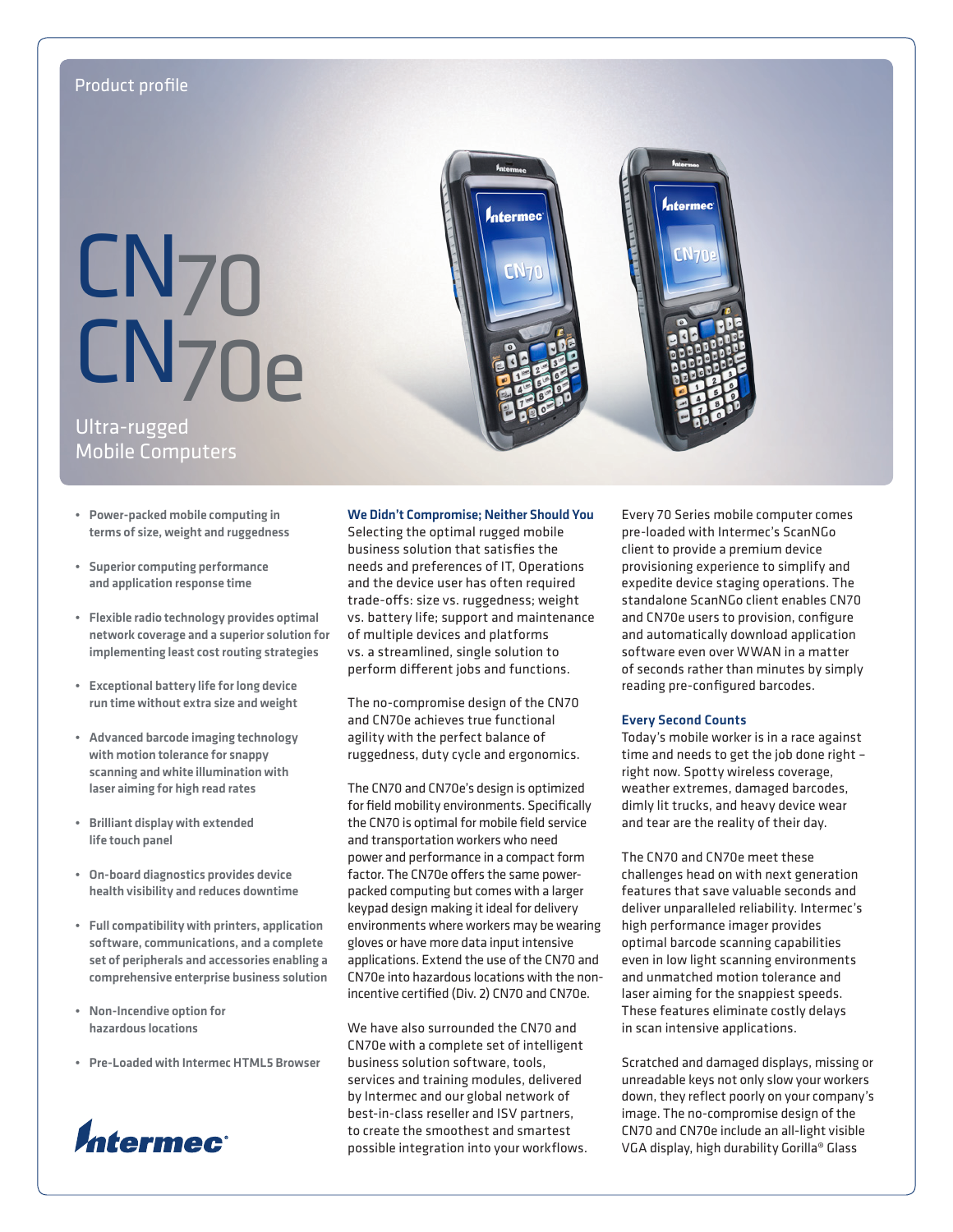# Product profile

# CN70 CN70e

# Ultra-rugged Mobile Computers

- • Power-packed mobile computing in terms of size, weight and ruggedness
- • Superior computing performance and application response time
- • Flexible radio technology provides optimal network coverage and a superior solution for implementing least cost routing strategies
- • Exceptional battery life for long device run time without extra size and weight
- • Advanced barcode imaging technology with motion tolerance for snappy scanning and white illumination with laser aiming for high read rates
- **Brilliant display with extended** life touch panel
- • On-board diagnostics provides device health visibility and reduces downtime
- • Full compatibility with printers, application software, communications, and a complete set of peripherals and accessories enabling a comprehensive enterprise business solution
- Non-Incendive option for hazardous locations
- • Pre-Loaded with Intermec HTML5 Browser



# We Didn't Compromise; Neither Should You

ntermec

<u>ודאלז</u>

Selecting the optimal rugged mobile business solution that satisfies the needs and preferences of IT, Operations and the device user has often required trade-offs: size vs. ruggedness; weight vs. battery life; support and maintenance of multiple devices and platforms vs. a streamlined, single solution to perform different jobs and functions.

The no-compromise design of the CN70 and CN70e achieves true functional agility with the perfect balance of ruggedness, duty cycle and ergonomics.

The CN70 and CN70e's design is optimized for field mobility environments. Specifically the CN70 is optimal for mobile field service and transportation workers who need power and performance in a compact form factor. The CN70e offers the same powerpacked computing but comes with a larger keypad design making it ideal for delivery environments where workers may be wearing gloves or have more data input intensive applications. Extend the use of the CN70 and CN70e into hazardous locations with the nonincentive certified (Div. 2) CN70 and CN70e.

We have also surrounded the CN70 and CN70e with a complete set of intelligent business solution software, tools, services and training modules, delivered by Intermec and our global network of best-in-class reseller and ISV partners, to create the smoothest and smartest possible integration into your workflows. Every 70 Series mobile computer comes pre-loaded with Intermec's ScanNGo client to provide a premium device provisioning experience to simplify and expedite device staging operations. The standalone ScanNGo client enables CN70 and CN70e users to provision, configure and automatically download application software even over WWAN in a matter of seconds rather than minutes by simply reading pre-configured barcodes.

# Every Second Counts

N-r

Today's mobile worker is in a race against time and needs to get the job done right – right now. Spotty wireless coverage, weather extremes, damaged barcodes, dimly lit trucks, and heavy device wear and tear are the reality of their day.

The CN70 and CN70e meet these challenges head on with next generation features that save valuable seconds and deliver unparalleled reliability. Intermec's high performance imager provides optimal barcode scanning capabilities even in low light scanning environments and unmatched motion tolerance and laser aiming for the snappiest speeds. These features eliminate costly delays in scan intensive applications.

Scratched and damaged displays, missing or unreadable keys not only slow your workers down, they reflect poorly on your company's image. The no-compromise design of the CN70 and CN70e include an all-light visible VGA display, high durability Gorilla® Glass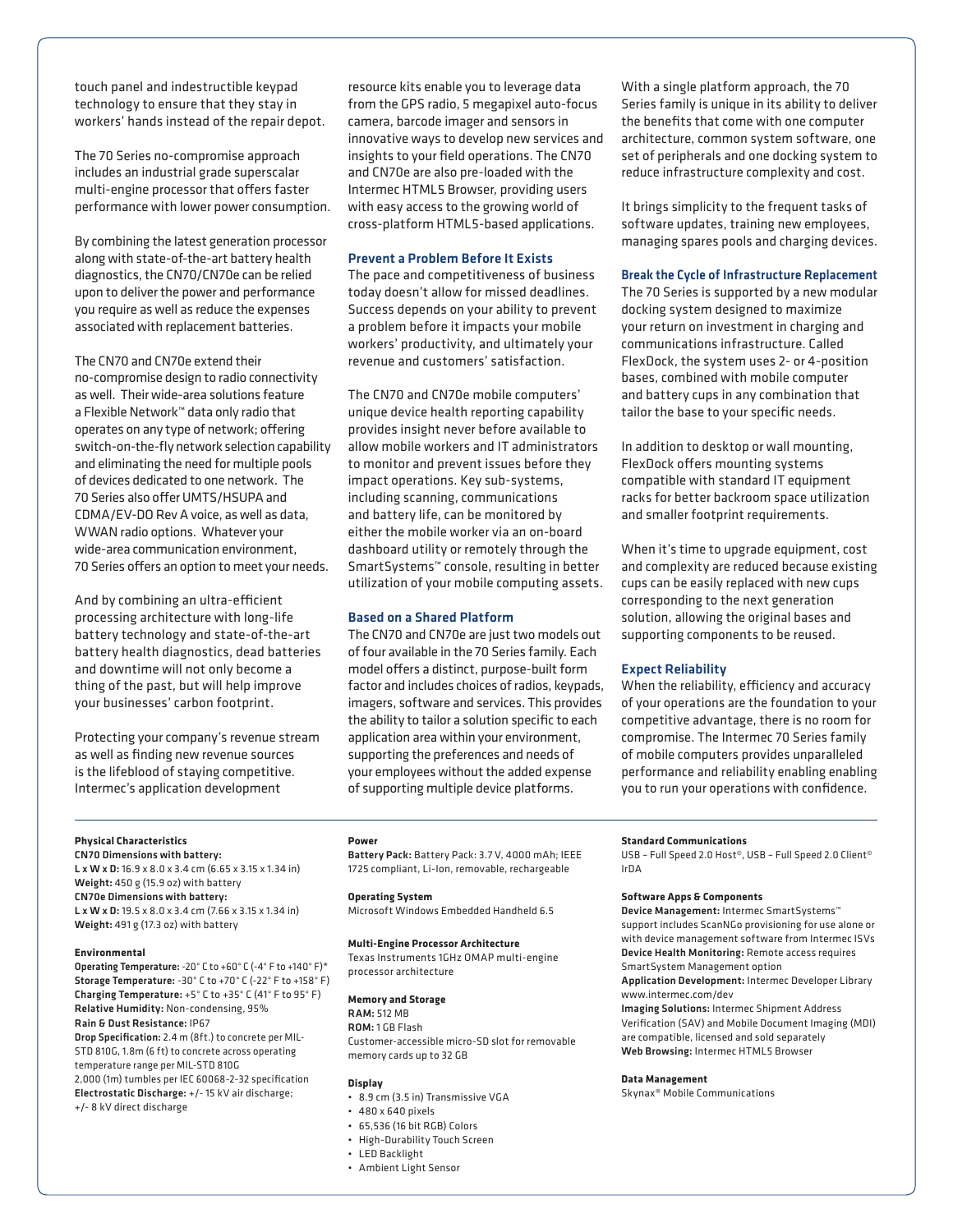touch panel and indestructible keypad technology to ensure that they stay in workers' hands instead of the repair depot.

The 70 Series no-compromise approach includes an industrial grade superscalar multi-engine processor that offers faster performance with lower power consumption.

By combining the latest generation processor along with state-of-the-art battery health diagnostics, the CN70/CN70e can be relied upon to deliver the power and performance you require as well as reduce the expenses associated with replacement batteries.

The CN70 and CN70e extend their no-compromise design to radio connectivity as well. Their wide-area solutions feature a Flexible Network™ data only radio that operates on any type of network; offering switch-on-the-fly network selection capability and eliminating the need for multiple pools of devices dedicated to one network. The 70 Series also offer UMTS/HSUPA and CDMA/EV-DO Rev A voice, as well as data, WWAN radio options. Whatever your wide-area communication environment, 70 Series offers an option to meet your needs.

And by combining an ultra-efficient processing architecture with long-life battery technology and state-of-the-art battery health diagnostics, dead batteries and downtime will not only become a thing of the past, but will help improve your businesses' carbon footprint.

Protecting your company's revenue stream as well as finding new revenue sources is the lifeblood of staying competitive. Intermec's application development

resource kits enable you to leverage data from the GPS radio, 5 megapixel auto-focus camera, barcode imager and sensors in innovative ways to develop new services and insights to your field operations. The CN70 and CN70e are also pre-loaded with the Intermec HTML5 Browser, providing users with easy access to the growing world of cross-platform HTML5-based applications.

# Prevent a Problem Before It Exists

The pace and competitiveness of business today doesn't allow for missed deadlines. Success depends on your ability to prevent a problem before it impacts your mobile workers' productivity, and ultimately your revenue and customers' satisfaction.

The CN70 and CN70e mobile computers' unique device health reporting capability provides insight never before available to allow mobile workers and IT administrators to monitor and prevent issues before they impact operations. Key sub-systems, including scanning, communications and battery life, can be monitored by either the mobile worker via an on-board dashboard utility or remotely through the SmartSystems™ console, resulting in better utilization of your mobile computing assets.

# Based on a Shared Platform

The CN70 and CN70e are just two models out of four available in the 70 Series family. Each model offers a distinct, purpose-built form factor and includes choices of radios, keypads, imagers, software and services. This provides the ability to tailor a solution specific to each application area within your environment, supporting the preferences and needs of your employees without the added expense of supporting multiple device platforms.

With a single platform approach, the 70 Series family is unique in its ability to deliver the benefits that come with one computer architecture, common system software, one set of peripherals and one docking system to reduce infrastructure complexity and cost.

It brings simplicity to the frequent tasks of software updates, training new employees, managing spares pools and charging devices.

# Break the Cycle of Infrastructure Replacement

The 70 Series is supported by a new modular docking system designed to maximize your return on investment in charging and communications infrastructure. Called FlexDock, the system uses 2- or 4-position bases, combined with mobile computer and battery cups in any combination that tailor the base to your specific needs.

In addition to desktop or wall mounting, FlexDock offers mounting systems compatible with standard IT equipment racks for better backroom space utilization and smaller footprint requirements.

When it's time to upgrade equipment, cost and complexity are reduced because existing cups can be easily replaced with new cups corresponding to the next generation solution, allowing the original bases and supporting components to be reused.

# Expect Reliability

When the reliability, efficiency and accuracy of your operations are the foundation to your competitive advantage, there is no room for compromise. The Intermec 70 Series family of mobile computers provides unparalleled performance and reliability enabling enabling you to run your operations with confidence.

# **Physical Characteristics**

CN70 Dimensions with battery: L x W x D: 16.9 x 8.0 x 3.4 cm (6.65 x 3.15 x 1.34 in) Weight: 450 g (15.9 oz) with battery CN70e Dimensions with battery: L x W x D: 19.5 x 8.0 x 3.4 cm (7.66 x 3.15 x 1.34 in) Weight: 491 g (17.3 oz) with battery

#### **Environmental**

Operating Temperature: -20° C to +60° C (-4° F to +140° F)\* Storage Temperature: -30° C to +70° C (-22° F to +158° F) Charging Temperature: +5° C to +35° C (41° F to 95° F) Relative Humidity: Non-condensing, 95% Rain & Dust Resistance: IP67

Drop Specification: 2.4 m (8ft.) to concrete per MIL-STD 810G, 1.8m (6 ft) to concrete across operating temperature range per MIL-STD 810G 2,000 (1m) tumbles per IEC 60068-2-32 specification Electrostatic Discharge: +/- 15 kV air discharge; +/- 8 kV direct discharge

**Power** Battery Pack: Battery Pack: 3.7 V, 4000 mAh; IEEE 1725 compliant, Li-Ion, removable, rechargeable

#### **Operating System**

Microsoft Windows Embedded Handheld 6.5

# **Multi-Engine Processor Architecture**

Texas Instruments 1GHz OMAP multi-engine processor architecture

# **Memory and Storage**

RAM: 512 MB ROM: 1 GB Flash Customer-accessible micro-SD slot for removable memory cards up to 32 GB

# **Display**

- • 8.9 cm (3.5 in) Transmissive VGA
- • 480 x 640 pixels
- • 65,536 (16 bit RGB) Colors
- • High-Durability Touch Screen
- • LED Backlight
- • Ambient Light Sensor

# **Standard Communications**

USB - Full Speed 2.0 Host®, USB - Full Speed 2.0 Client® IrDA

# **Software Apps & Components**

Device Management: Intermec SmartSystems™ support includes ScanNGo provisioning for use alone or with device management software from Intermec ISVs Device Health Monitoring: Remote access requires SmartSystem Management option Application Development: Intermec Developer Library [www.intermec.com/dev](http://www.intermec.com/dev)

Imaging Solutions: Intermec Shipment Address Verification (SAV) and Mobile Document Imaging (MDI) are compatible, licensed and sold separately Web Browsing: Intermec HTML5 Browser

# **Data Management**

Skynax® Mobile Communications